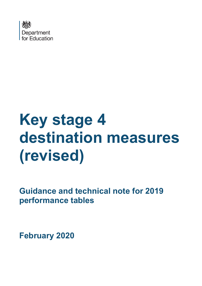

# **Key stage 4 destination measures (revised)**

**Guidance and technical note for 2019 performance tables**

**February 2020**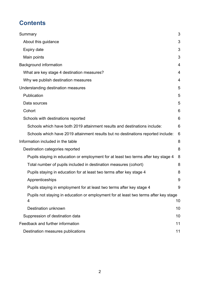# **Contents**

| Summary                                                                                   | 3  |
|-------------------------------------------------------------------------------------------|----|
| About this guidance                                                                       | 3  |
| Expiry date                                                                               | 3  |
| Main points                                                                               | 3  |
| <b>Background information</b>                                                             | 4  |
| What are key stage 4 destination measures?                                                | 4  |
| Why we publish destination measures                                                       | 4  |
| Understanding destination measures                                                        | 5  |
| Publication                                                                               | 5  |
| Data sources                                                                              | 5  |
| Cohort                                                                                    | 6  |
| Schools with destinations reported                                                        | 6  |
| Schools which have both 2019 attainment results and destinations include:                 | 6  |
| Schools which have 2019 attainment results but no destinations reported include:          | 6  |
| Information included in the table                                                         | 8  |
| Destination categories reported                                                           | 8  |
| Pupils staying in education or employment for at least two terms after key stage 4        | 8  |
| Total number of pupils included in destination measures (cohort)                          | 8  |
| Pupils staying in education for at least two terms after key stage 4                      | 8  |
| Apprenticeships                                                                           | 9  |
| Pupils staying in employment for at least two terms after key stage 4                     | 9  |
| Pupils not staying in education or employment for at least two terms after key stage<br>4 | 10 |
| <b>Destination unknown</b>                                                                | 10 |
| Suppression of destination data                                                           | 10 |
| Feedback and further information                                                          | 11 |
| Destination measures publications                                                         | 11 |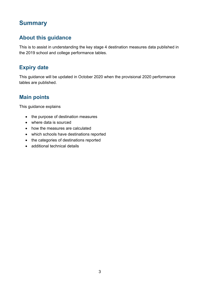## <span id="page-2-0"></span>**Summary**

## <span id="page-2-1"></span>**About this guidance**

This is to assist in understanding the key stage 4 destination measures data published in the 2019 school and college performance tables.

## <span id="page-2-2"></span>**Expiry date**

This guidance will be updated in October 2020 when the provisional 2020 performance tables are published.

## <span id="page-2-3"></span>**Main points**

This guidance explains

- the purpose of destination measures
- where data is sourced
- how the measures are calculated
- which schools have destinations reported
- the categories of destinations reported
- additional technical details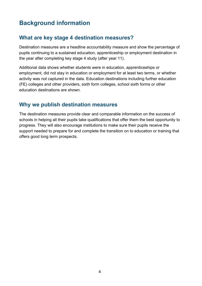# <span id="page-3-0"></span>**Background information**

## <span id="page-3-1"></span>**What are key stage 4 destination measures?**

Destination measures are a headline accountability measure and show the percentage of pupils continuing to a sustained education, apprenticeship or employment destination in the year after completing key stage 4 study (after year 11).

Additional data shows whether students were in education, apprenticeships or employment, did not stay in education or employment for at least two terms, or whether activity was not captured in the data. Education destinations including further education (FE) colleges and other providers, sixth form colleges, school sixth forms or other education destinations are shown.

## <span id="page-3-2"></span>**Why we publish destination measures**

The destination measures provide clear and comparable information on the success of schools in helping all their pupils take qualifications that offer them the best opportunity to progress. They will also encourage institutions to make sure their pupils receive the support needed to prepare for and complete the transition on to education or training that offers good long term prospects.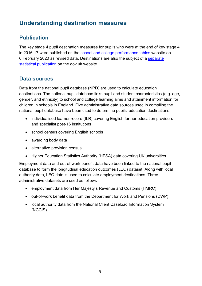# <span id="page-4-0"></span>**Understanding destination measures**

## <span id="page-4-1"></span>**Publication**

The key stage 4 pupil destination measures for pupils who were at the end of key stage 4 in 2016-17 were published on the school and college [performance tables](https://www.compare-school-performance.service.gov.uk/find-a-school-in-england) website on 6 February 2020 as revised data. Destinations are also the subject of a [separate](https://www.gov.uk/government/collections/statistics-destinations)  [statistical publication](https://www.gov.uk/government/collections/statistics-destinations) on the gov.uk website.

## <span id="page-4-2"></span>**Data sources**

Data from the national pupil database (NPD) are used to calculate education destinations. The national pupil database links pupil and student characteristics (e.g. age, gender, and ethnicity) to school and college learning aims and attainment information for children in schools in England. Five administrative data sources used in compiling the national pupil database have been used to determine pupils' education destinations:

- individualised learner record (ILR) covering English further education providers and specialist post-16 institutions
- school census covering English schools
- awarding body data
- alternative provision census
- Higher Education Statistics Authority (HESA) data covering UK universities

Employment data and out-of-work benefit data have been linked to the national pupil database to form the longitudinal education outcomes (LEO) dataset. Along with local authority data, LEO data is used to calculate employment destinations. Three administrative datasets are used as follows

- employment data from Her Majesty's Revenue and Customs (HMRC)
- out-of-work benefit data from the Department for Work and Pensions (DWP)
- local authority data from the National Client Caseload Information System (NCCIS)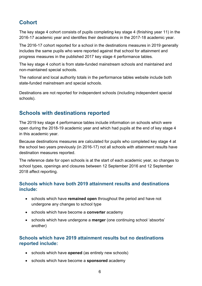## <span id="page-5-0"></span>**Cohort**

The key stage 4 cohort consists of pupils completing key stage 4 (finishing year 11) in the 2016-17 academic year and identifies their destinations in the 2017-18 academic year.

The 2016-17 cohort reported for a school in the destinations measures in 2019 generally includes the same pupils who were reported against that school for attainment and progress measures in the published 2017 key stage 4 performance tables.

The key stage 4 cohort is from state-funded mainstream schools and maintained and non-maintained special schools.

The national and local authority totals in the performance tables website include both state-funded mainstream and special schools.

Destinations are not reported for independent schools (including independent special schools).

## <span id="page-5-1"></span>**Schools with destinations reported**

The 2019 key stage 4 performance tables include information on schools which were open during the 2018-19 academic year and which had pupils at the end of key stage 4 in this academic year.

Because destinations measures are calculated for pupils who completed key stage 4 at the school two years previously (in 2016-17) not all schools with attainment results have destination measures reported.

The reference date for open schools is at the start of each academic year, so changes to school types, openings and closures between 12 September 2016 and 12 September 2018 affect reporting.

#### <span id="page-5-2"></span>**Schools which have both 2019 attainment results and destinations include:**

- schools which have **remained open** throughout the period and have not undergone any changes to school type
- schools which have become a **converter** academy
- schools which have undergone a **merger** (one continuing school 'absorbs' another)

#### <span id="page-5-3"></span>**Schools which have 2019 attainment results but no destinations reported include:**

- schools which have **opened** (as entirely new schools)
- schools which have become a **sponsored** academy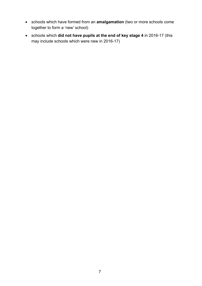- schools which have formed from an **amalgamation** (two or more schools come together to form a 'new' school)
- schools which **did not have pupils at the end of key stage 4** in 2016-17 (this may include schools which were new in 2016-17)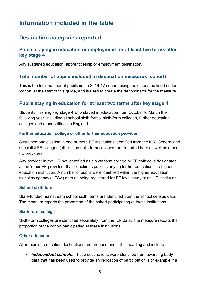# <span id="page-7-0"></span>**Information included in the table**

## <span id="page-7-1"></span>**Destination categories reported**

#### <span id="page-7-2"></span>**Pupils staying in education or employment for at least two terms after key stage 4**

Any sustained education, apprenticeship or employment destination.

#### <span id="page-7-3"></span>**Total number of pupils included in destination measures (cohort)**

This is the total number of pupils in the 2016-17 cohort, using the criteria outlined under 'cohort' at the start of this guide, and is used to create the denominator for the measure.

#### <span id="page-7-4"></span>**Pupils staying in education for at least two terms after key stage 4**

Students finishing key stage 4 who stayed in education from October to March the following year, including at school sixth forms, sixth-form colleges, further education colleges and other settings in England.

#### **Further education college or other further education provider**

Sustained participation in one or more FE institutions identified from the ILR. General and specialist FE colleges (other than sixth-form colleges) are reported here as well as other FE providers.

Any provider in the ILR not identified as a sixth form college or FE college is designated as an 'other FE provider'. It also includes pupils studying further education in a higher education institution. A number of pupils were identified within the higher education statistics agency (HESA) data as being registered for FE level study at an HE institution.

#### **School sixth form**

State-funded mainstream school sixth forms are identified from the school census data. The measure reports the proportion of the cohort participating at these institutions.

#### **Sixth-form college**

Sixth-form colleges are identified separately from the ILR data. The measure reports the proportion of the cohort participating at these institutions.

#### **Other education**

All remaining education destinations are grouped under this heading and include:

• *independent schools:* These destinations were identified from awarding body data that has been used to provide an indication of participation. For example if a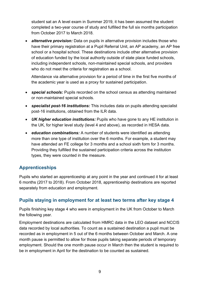student sat an A level exam in Summer 2019, it has been assumed the student completed a two-year course of study and fulfilled the full six months participation from October 2017 to March 2018.

• *alternative provision:* Data on pupils in alternative provision includes those who have their primary registration at a Pupil Referral Unit, an AP academy, an AP free school or a hospital school. These destinations include other alternative provision of education funded by the local authority outside of state place funded schools, including independent schools, non-maintained special schools, and providers who do not meet the criteria for registration as a school.

Attendance via alternative provision for a period of time in the first five months of the academic year is used as a proxy for sustained participation.

- *special schools:* Pupils recorded on the school census as attending maintained or non-maintained special schools.
- *specialist post-16 institutions:* This includes data on pupils attending specialist post-16 institutions, obtained from the ILR data.
- *UK higher education institutions:* Pupils who have gone to any HE institution in the UK, for higher level study (level 4 and above), as recorded in HESA data.
- *education combinations:* A number of students were identified as attending more than one type of institution over the 6 months. For example, a student may have attended an FE college for 3 months and a school sixth form for 3 months. Providing they fulfilled the sustained participation criteria across the institution types, they were counted in the measure.

#### <span id="page-8-0"></span>**Apprenticeships**

Pupils who started an apprenticeship at any point in the year and continued it for at least 6 months (2017 to 2018). From October 2018, apprenticeship destinations are reported separately from education and employment.

#### <span id="page-8-1"></span>**Pupils staying in employment for at least two terms after key stage 4**

Pupils finishing key stage 4 who were in employment in the UK from October to March the following year.

Employment destinations are calculated from HMRC data in the LEO dataset and NCCIS data recorded by local authorities. To count as a sustained destination a pupil must be recorded as in employment in 5 out of the 6 months between October and March. A one month pause is permitted to allow for those pupils taking separate periods of temporary employment. Should the one month pause occur in March then the student is required to be in employment in April for the destination to be counted as sustained.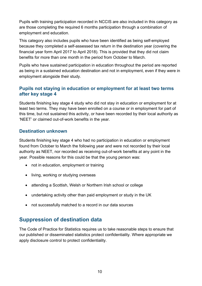Pupils with training participation recorded in NCCIS are also included in this category as are those completing the required 6 months participation through a combination of employment and education.

This category also includes pupils who have been identified as being self-employed because they completed a self-assessed tax return in the destination year (covering the financial year form April 2017 to April 2018). This is provided that they did not claim benefits for more than one month in the period from October to March.

Pupils who have sustained participation in education throughout the period are reported as being in a sustained education destination and not in employment, even if they were in employment alongside their study.

#### <span id="page-9-0"></span>**Pupils not staying in education or employment for at least two terms after key stage 4**

Students finishing key stage 4 study who did not stay in education or employment for at least two terms. They may have been enrolled on a course or in employment for part of this time, but not sustained this activity, or have been recorded by their local authority as 'NEET' or claimed out-of-work benefits in the year.

#### <span id="page-9-1"></span>**Destination unknown**

Students finishing key stage 4 who had no participation in education or employment found from October to March the following year and were not recorded by their local authority as NEET, nor recorded as receiving out-of-work benefits at any point in the year. Possible reasons for this could be that the young person was:

- not in education, employment or training
- living, working or studying overseas
- attending a Scottish, Welsh or Northern Irish school or college
- undertaking activity other than paid employment or study in the UK
- not successfully matched to a record in our data sources

## <span id="page-9-2"></span>**Suppression of destination data**

The Code of Practice for Statistics requires us to take reasonable steps to ensure that our published or disseminated statistics protect confidentiality. Where appropriate we apply disclosure control to protect confidentiality.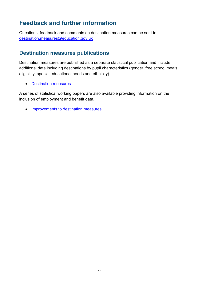# <span id="page-10-0"></span>**Feedback and further information**

Questions, feedback and comments on destination measures can be sent to [destination.measures@education.gov.uk](mailto:destination.measures@education.gov.uk)

## <span id="page-10-1"></span>**Destination measures publications**

Destination measures are published as a separate statistical publication and include additional data including destinations by pupil characteristics (gender, free school meals eligibility, special educational needs and ethnicity)

• [Destination measures](https://www.gov.uk/government/collections/statistics-destinations)

A series of statistical working papers are also available providing information on the inclusion of employment and benefit data.

• [Improvements to destination measures](https://www.gov.uk/government/collections/statistics-destinations)